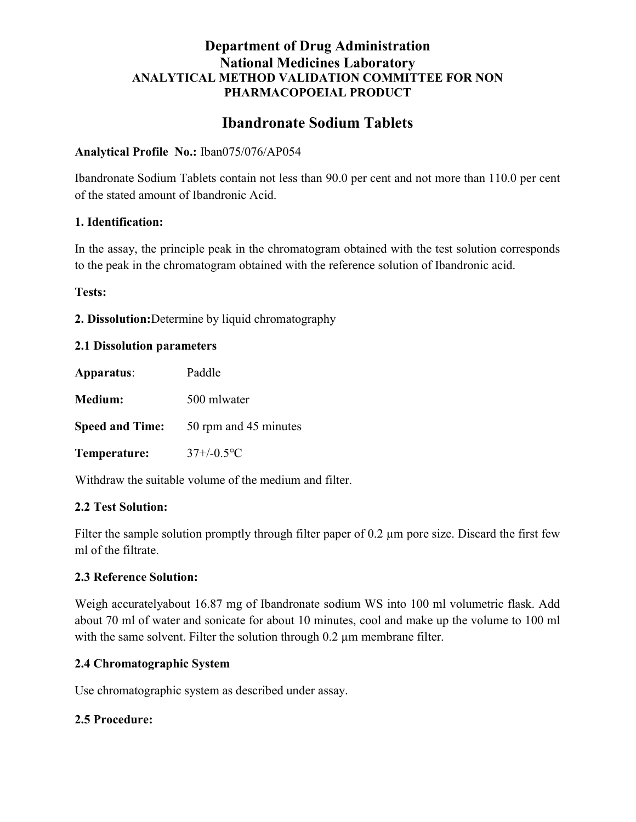## Department of Drug Administration National Medicines Laboratory ANALYTICAL METHOD VALIDATION COMMITTEE FOR NON PHARMACOPOEIAL PRODUCT

# Ibandronate Sodium Tablets

#### Analytical Profile No.: Iban075/076/AP054

Ibandronate Sodium Tablets contain not less than 90.0 per cent and not more than 110.0 per cent of the stated amount of Ibandronic Acid.

#### 1. Identification:

In the assay, the principle peak in the chromatogram obtained with the test solution corresponds to the peak in the chromatogram obtained with the reference solution of Ibandronic acid.

Tests:

2. Dissolution:Determine by liquid chromatography

#### 2.1 Dissolution parameters

| Apparatus:             | Paddle                |
|------------------------|-----------------------|
| Medium:                | 500 mlwater           |
| <b>Speed and Time:</b> | 50 rpm and 45 minutes |
| Temperature:           | $37+/-0.5$ °C         |

Withdraw the suitable volume of the medium and filter.

#### 2.2 Test Solution:

Filter the sample solution promptly through filter paper of 0.2 µm pore size. Discard the first few ml of the filtrate.

#### 2.3 Reference Solution:

Weigh accuratelyabout 16.87 mg of Ibandronate sodium WS into 100 ml volumetric flask. Add about 70 ml of water and sonicate for about 10 minutes, cool and make up the volume to 100 ml with the same solvent. Filter the solution through 0.2  $\mu$ m membrane filter.

#### 2.4 Chromatographic System

Use chromatographic system as described under assay.

#### 2.5 Procedure: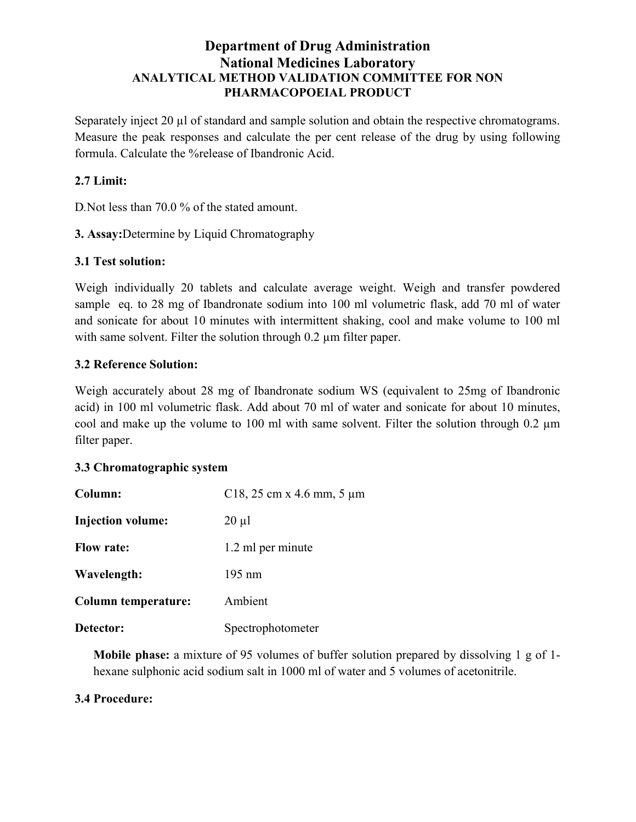# Department of Drug Administration National Medicines Laboratory ANALYTICAL METHOD VALIDATION COMMITTEE FOR NON PHARMACOPOEIAL PRODUCT

Separately inject 20 µl of standard and sample solution and obtain the respective chromatograms. Measure the peak responses and calculate the per cent release of the drug by using following formula. Calculate the %release of Ibandronic Acid.

# 2.7 Limit:

D.Not less than 70.0 % of the stated amount.

3. Assay:Determine by Liquid Chromatography

### 3.1 Test solution:

Weigh individually 20 tablets and calculate average weight. Weigh and transfer powdered sample eq. to 28 mg of Ibandronate sodium into 100 ml volumetric flask, add 70 ml of water and sonicate for about 10 minutes with intermittent shaking, cool and make volume to 100 ml with same solvent. Filter the solution through 0.2 µm filter paper.

### 3.2 Reference Solution:

Weigh accurately about 28 mg of Ibandronate sodium WS (equivalent to 25mg of Ibandronic acid) in 100 ml volumetric flask. Add about 70 ml of water and sonicate for about 10 minutes, cool and make up the volume to 100 ml with same solvent. Filter the solution through 0.2 µm filter paper.

#### 3.3 Chromatographic system

| Column:                    | C18, 25 cm x 4.6 mm, 5 $\mu$ m |
|----------------------------|--------------------------------|
| <b>Injection volume:</b>   | $20 \mu l$                     |
| <b>Flow rate:</b>          | 1.2 ml per minute              |
| Wavelength:                | $195 \text{ nm}$               |
| <b>Column temperature:</b> | Ambient                        |
| Detector:                  | Spectrophotometer              |

Mobile phase: a mixture of 95 volumes of buffer solution prepared by dissolving 1 g of 1 hexane sulphonic acid sodium salt in 1000 ml of water and 5 volumes of acetonitrile.

#### 3.4 Procedure: